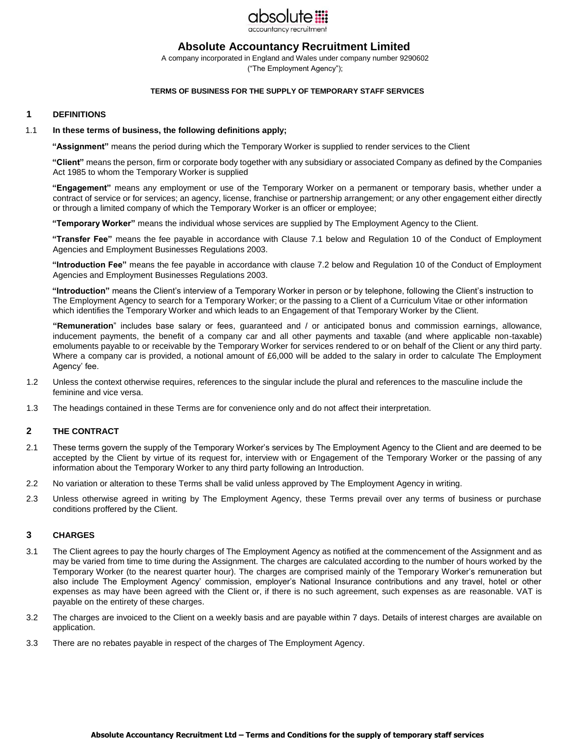

# **Absolute Accountancy Recruitment Limited**

A company incorporated in England and Wales under company number 9290602 ("The Employment Agency");

### **TERMS OF BUSINESS FOR THE SUPPLY OF TEMPORARY STAFF SERVICES**

## **1 DEFINITIONS**

#### 1.1 **In these terms of business, the following definitions apply;**

**"Assignment"** means the period during which the Temporary Worker is supplied to render services to the Client

**"Client"** means the person, firm or corporate body together with any subsidiary or associated Company as defined by the Companies Act 1985 to whom the Temporary Worker is supplied

**"Engagement"** means any employment or use of the Temporary Worker on a permanent or temporary basis, whether under a contract of service or for services; an agency, license, franchise or partnership arrangement; or any other engagement either directly or through a limited company of which the Temporary Worker is an officer or employee;

**"Temporary Worker"** means the individual whose services are supplied by The Employment Agency to the Client.

**"Transfer Fee"** means the fee payable in accordance with Clause 7.1 below and Regulation 10 of the Conduct of Employment Agencies and Employment Businesses Regulations 2003.

**"Introduction Fee"** means the fee payable in accordance with clause 7.2 below and Regulation 10 of the Conduct of Employment Agencies and Employment Businesses Regulations 2003.

**"Introduction"** means the Client's interview of a Temporary Worker in person or by telephone, following the Client's instruction to The Employment Agency to search for a Temporary Worker; or the passing to a Client of a Curriculum Vitae or other information which identifies the Temporary Worker and which leads to an Engagement of that Temporary Worker by the Client.

**"Remuneration**" includes base salary or fees, guaranteed and / or anticipated bonus and commission earnings, allowance, inducement payments, the benefit of a company car and all other payments and taxable (and where applicable non-taxable) emoluments payable to or receivable by the Temporary Worker for services rendered to or on behalf of the Client or any third party. Where a company car is provided, a notional amount of £6,000 will be added to the salary in order to calculate The Employment Agency' fee.

- 1.2 Unless the context otherwise requires, references to the singular include the plural and references to the masculine include the feminine and vice versa.
- 1.3 The headings contained in these Terms are for convenience only and do not affect their interpretation.

## **2 THE CONTRACT**

- 2.1 These terms govern the supply of the Temporary Worker's services by The Employment Agency to the Client and are deemed to be accepted by the Client by virtue of its request for, interview with or Engagement of the Temporary Worker or the passing of any information about the Temporary Worker to any third party following an Introduction.
- 2.2 No variation or alteration to these Terms shall be valid unless approved by The Employment Agency in writing.
- 2.3 Unless otherwise agreed in writing by The Employment Agency, these Terms prevail over any terms of business or purchase conditions proffered by the Client.

## **3 CHARGES**

- 3.1 The Client agrees to pay the hourly charges of The Employment Agency as notified at the commencement of the Assignment and as may be varied from time to time during the Assignment. The charges are calculated according to the number of hours worked by the Temporary Worker (to the nearest quarter hour). The charges are comprised mainly of the Temporary Worker's remuneration but also include The Employment Agency' commission, employer's National Insurance contributions and any travel, hotel or other expenses as may have been agreed with the Client or, if there is no such agreement, such expenses as are reasonable. VAT is payable on the entirety of these charges.
- 3.2 The charges are invoiced to the Client on a weekly basis and are payable within 7 days. Details of interest charges are available on application.
- 3.3 There are no rebates payable in respect of the charges of The Employment Agency.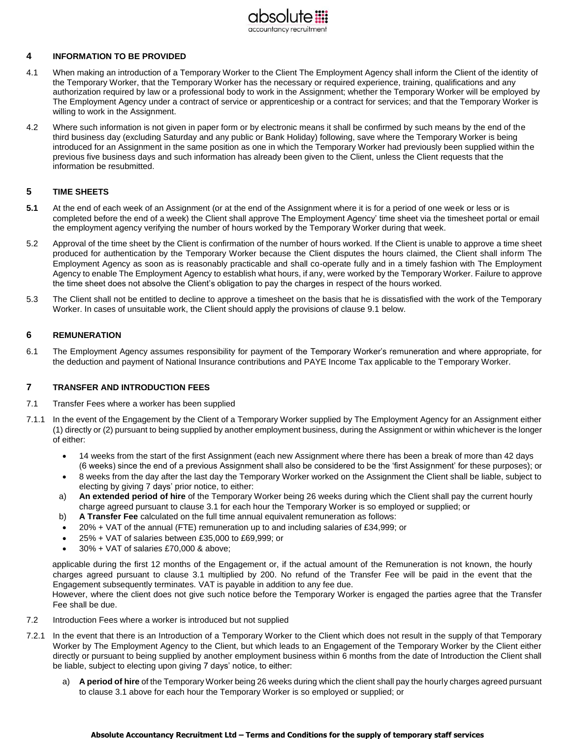

## **4 INFORMATION TO BE PROVIDED**

- 4.1 When making an introduction of a Temporary Worker to the Client The Employment Agency shall inform the Client of the identity of the Temporary Worker, that the Temporary Worker has the necessary or required experience, training, qualifications and any authorization required by law or a professional body to work in the Assignment; whether the Temporary Worker will be employed by The Employment Agency under a contract of service or apprenticeship or a contract for services; and that the Temporary Worker is willing to work in the Assignment.
- 4.2 Where such information is not given in paper form or by electronic means it shall be confirmed by such means by the end of the third business day (excluding Saturday and any public or Bank Holiday) following, save where the Temporary Worker is being introduced for an Assignment in the same position as one in which the Temporary Worker had previously been supplied within the previous five business days and such information has already been given to the Client, unless the Client requests that the information be resubmitted.

## **5 TIME SHEETS**

- **5.1** At the end of each week of an Assignment (or at the end of the Assignment where it is for a period of one week or less or is completed before the end of a week) the Client shall approve The Employment Agency' time sheet via the timesheet portal or email the employment agency verifying the number of hours worked by the Temporary Worker during that week.
- 5.2 Approval of the time sheet by the Client is confirmation of the number of hours worked. If the Client is unable to approve a time sheet produced for authentication by the Temporary Worker because the Client disputes the hours claimed, the Client shall inform The Employment Agency as soon as is reasonably practicable and shall co-operate fully and in a timely fashion with The Employment Agency to enable The Employment Agency to establish what hours, if any, were worked by the Temporary Worker. Failure to approve the time sheet does not absolve the Client's obligation to pay the charges in respect of the hours worked.
- 5.3 The Client shall not be entitled to decline to approve a timesheet on the basis that he is dissatisfied with the work of the Temporary Worker. In cases of unsuitable work, the Client should apply the provisions of clause 9.1 below.

## **6 REMUNERATION**

6.1 The Employment Agency assumes responsibility for payment of the Temporary Worker's remuneration and where appropriate, for the deduction and payment of National Insurance contributions and PAYE Income Tax applicable to the Temporary Worker.

## **7 TRANSFER AND INTRODUCTION FEES**

- 7.1 Transfer Fees where a worker has been supplied
- 7.1.1 In the event of the Engagement by the Client of a Temporary Worker supplied by The Employment Agency for an Assignment either (1) directly or (2) pursuant to being supplied by another employment business, during the Assignment or within whichever is the longer of either:
	- 14 weeks from the start of the first Assignment (each new Assignment where there has been a break of more than 42 days (6 weeks) since the end of a previous Assignment shall also be considered to be the 'first Assignment' for these purposes); or
	- 8 weeks from the day after the last day the Temporary Worker worked on the Assignment the Client shall be liable, subject to electing by giving 7 days' prior notice, to either:
	- a) **An extended period of hire** of the Temporary Worker being 26 weeks during which the Client shall pay the current hourly charge agreed pursuant to clause 3.1 for each hour the Temporary Worker is so employed or supplied; or
	- b) **A Transfer Fee** calculated on the full time annual equivalent remuneration as follows:
	- 20% + VAT of the annual (FTE) remuneration up to and including salaries of £34,999; or
	- 25% + VAT of salaries between £35,000 to £69,999; or
	- 30% + VAT of salaries £70,000 & above;

applicable during the first 12 months of the Engagement or, if the actual amount of the Remuneration is not known, the hourly charges agreed pursuant to clause 3.1 multiplied by 200. No refund of the Transfer Fee will be paid in the event that the Engagement subsequently terminates. VAT is payable in addition to any fee due. However, where the client does not give such notice before the Temporary Worker is engaged the parties agree that the Transfer

Fee shall be due.

- 7.2 Introduction Fees where a worker is introduced but not supplied
- 7.2.1 In the event that there is an Introduction of a Temporary Worker to the Client which does not result in the supply of that Temporary Worker by The Employment Agency to the Client, but which leads to an Engagement of the Temporary Worker by the Client either directly or pursuant to being supplied by another employment business within 6 months from the date of Introduction the Client shall be liable, subject to electing upon giving 7 days' notice, to either:
	- a) **A period of hire** of the Temporary Worker being 26 weeks during which the client shall pay the hourly charges agreed pursuant to clause 3.1 above for each hour the Temporary Worker is so employed or supplied; or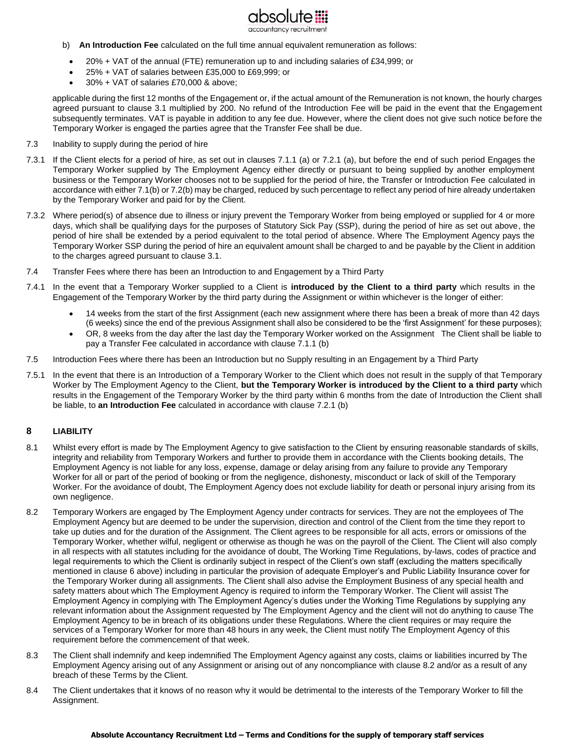

- b) **An Introduction Fee** calculated on the full time annual equivalent remuneration as follows:
	- 20% + VAT of the annual (FTE) remuneration up to and including salaries of £34,999; or
	- 25% + VAT of salaries between £35,000 to £69,999; or
	- 30% + VAT of salaries £70,000 & above;

applicable during the first 12 months of the Engagement or, if the actual amount of the Remuneration is not known, the hourly charges agreed pursuant to clause 3.1 multiplied by 200. No refund of the Introduction Fee will be paid in the event that the Engagement subsequently terminates. VAT is payable in addition to any fee due. However, where the client does not give such notice before the Temporary Worker is engaged the parties agree that the Transfer Fee shall be due.

- 7.3 Inability to supply during the period of hire
- 7.3.1 If the Client elects for a period of hire, as set out in clauses 7.1.1 (a) or 7.2.1 (a), but before the end of such period Engages the Temporary Worker supplied by The Employment Agency either directly or pursuant to being supplied by another employment business or the Temporary Worker chooses not to be supplied for the period of hire, the Transfer or Introduction Fee calculated in accordance with either 7.1(b) or 7.2(b) may be charged, reduced by such percentage to reflect any period of hire already undertaken by the Temporary Worker and paid for by the Client.
- 7.3.2 Where period(s) of absence due to illness or injury prevent the Temporary Worker from being employed or supplied for 4 or more days, which shall be qualifying days for the purposes of Statutory Sick Pay (SSP), during the period of hire as set out above, the period of hire shall be extended by a period equivalent to the total period of absence. Where The Employment Agency pays the Temporary Worker SSP during the period of hire an equivalent amount shall be charged to and be payable by the Client in addition to the charges agreed pursuant to clause 3.1.
- 7.4 Transfer Fees where there has been an Introduction to and Engagement by a Third Party
- 7.4.1 In the event that a Temporary Worker supplied to a Client is **introduced by the Client to a third party** which results in the Engagement of the Temporary Worker by the third party during the Assignment or within whichever is the longer of either:
	- 14 weeks from the start of the first Assignment (each new assignment where there has been a break of more than 42 days (6 weeks) since the end of the previous Assignment shall also be considered to be the 'first Assignment' for these purposes);
	- OR, 8 weeks from the day after the last day the Temporary Worker worked on the Assignment The Client shall be liable to pay a Transfer Fee calculated in accordance with clause 7.1.1 (b)
- 7.5 Introduction Fees where there has been an Introduction but no Supply resulting in an Engagement by a Third Party
- 7.5.1 In the event that there is an Introduction of a Temporary Worker to the Client which does not result in the supply of that Temporary Worker by The Employment Agency to the Client, **but the Temporary Worker is introduced by the Client to a third party** which results in the Engagement of the Temporary Worker by the third party within 6 months from the date of Introduction the Client shall be liable, to **an Introduction Fee** calculated in accordance with clause 7.2.1 (b)

## **8 LIABILITY**

- 8.1 Whilst every effort is made by The Employment Agency to give satisfaction to the Client by ensuring reasonable standards of skills, integrity and reliability from Temporary Workers and further to provide them in accordance with the Clients booking details, The Employment Agency is not liable for any loss, expense, damage or delay arising from any failure to provide any Temporary Worker for all or part of the period of booking or from the negligence, dishonesty, misconduct or lack of skill of the Temporary Worker. For the avoidance of doubt, The Employment Agency does not exclude liability for death or personal injury arising from its own negligence.
- 8.2 Temporary Workers are engaged by The Employment Agency under contracts for services. They are not the employees of The Employment Agency but are deemed to be under the supervision, direction and control of the Client from the time they report to take up duties and for the duration of the Assignment. The Client agrees to be responsible for all acts, errors or omissions of the Temporary Worker, whether wilful, negligent or otherwise as though he was on the payroll of the Client. The Client will also comply in all respects with all statutes including for the avoidance of doubt, The Working Time Regulations, by-laws, codes of practice and legal requirements to which the Client is ordinarily subject in respect of the Client's own staff (excluding the matters specifically mentioned in clause 6 above) including in particular the provision of adequate Employer's and Public Liability Insurance cover for the Temporary Worker during all assignments. The Client shall also advise the Employment Business of any special health and safety matters about which The Employment Agency is required to inform the Temporary Worker. The Client will assist The Employment Agency in complying with The Employment Agency's duties under the Working Time Regulations by supplying any relevant information about the Assignment requested by The Employment Agency and the client will not do anything to cause The Employment Agency to be in breach of its obligations under these Regulations. Where the client requires or may require the services of a Temporary Worker for more than 48 hours in any week, the Client must notify The Employment Agency of this requirement before the commencement of that week.
- 8.3 The Client shall indemnify and keep indemnified The Employment Agency against any costs, claims or liabilities incurred by The Employment Agency arising out of any Assignment or arising out of any noncompliance with clause 8.2 and/or as a result of any breach of these Terms by the Client.
- 8.4 The Client undertakes that it knows of no reason why it would be detrimental to the interests of the Temporary Worker to fill the Assignment.